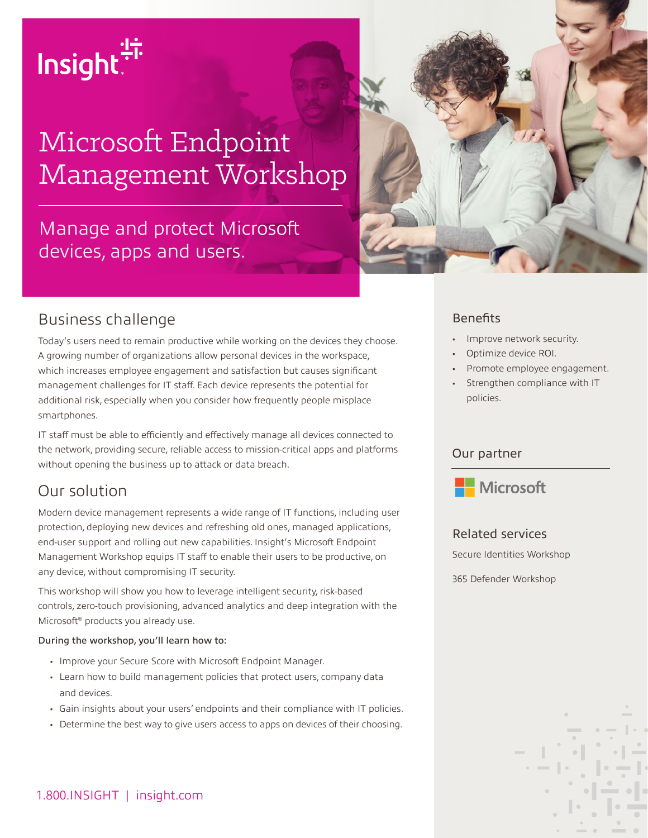# Insight.<sup>47</sup>

# Microsoft Endpoint Management Workshop

# Manage and protect Microsoft devices, apps and users.



### Business challenge

Today's users need to remain productive while working on the devices they choose. A growing number of organizations allow personal devices in the workspace, which increases employee engagement and satisfaction but causes significant management challenges for IT staff. Each device represents the potential for additional risk, especially when you consider how frequently people misplace smartphones.

IT staff must be able to efficiently and effectively manage all devices connected to the network, providing secure, reliable access to mission-critical apps and platforms without opening the business up to attack or data breach.

# Our solution

Modern device management represents a wide range of IT functions, including user protection, deploying new devices and refreshing old ones, managed applications, end-user support and rolling out new capabilities. Insight's Microsoft Endpoint Management Workshop equips IT staff to enable their users to be productive, on any device, without compromising IT security.

This workshop will show you how to leverage intelligent security, risk-based controls, zero-touch provisioning, advanced analytics and deep integration with the Microsoft® products you already use.

#### During the workshop, you'll learn how to:

- Improve your Secure Score with Microsoft Endpoint Manager.
- Learn how to build management policies that protect users, company data and devices.
- Gain insights about your users' endpoints and their compliance with IT policies.
- Determine the best way to give users access to apps on devices of their choosing.

#### **Benefits**

- Improve network security.
- Optimize device ROI.
- Promote employee engagement.
- Strengthen compliance with IT policies.

#### Our partner



#### Related services

Secure Identities Workshop

365 Defender Workshop